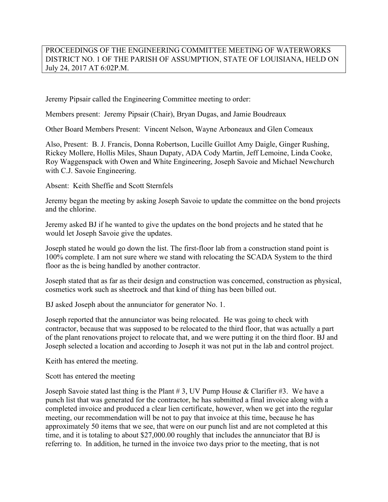## PROCEEDINGS OF THE ENGINEERING COMMITTEE MEETING OF WATERWORKS DISTRICT NO. 1 OF THE PARISH OF ASSUMPTION, STATE OF LOUISIANA, HELD ON July 24, 2017 AT 6:02P.M.

Jeremy Pipsair called the Engineering Committee meeting to order:

Members present: Jeremy Pipsair (Chair), Bryan Dugas, and Jamie Boudreaux

Other Board Members Present: Vincent Nelson, Wayne Arboneaux and Glen Comeaux

Also, Present: B. J. Francis, Donna Robertson, Lucille Guillot Amy Daigle, Ginger Rushing, Rickey Mollere, Hollis Miles, Shaun Dupaty, ADA Cody Martin, Jeff Lemoine, Linda Cooke, Roy Waggenspack with Owen and White Engineering, Joseph Savoie and Michael Newchurch with C.J. Savoie Engineering.

Absent: Keith Sheffie and Scott Sternfels

Jeremy began the meeting by asking Joseph Savoie to update the committee on the bond projects and the chlorine.

Jeremy asked BJ if he wanted to give the updates on the bond projects and he stated that he would let Joseph Savoie give the updates.

Joseph stated he would go down the list. The first-floor lab from a construction stand point is 100% complete. I am not sure where we stand with relocating the SCADA System to the third floor as the is being handled by another contractor.

Joseph stated that as far as their design and construction was concerned, construction as physical, cosmetics work such as sheetrock and that kind of thing has been billed out.

BJ asked Joseph about the annunciator for generator No. 1.

Joseph reported that the annunciator was being relocated. He was going to check with contractor, because that was supposed to be relocated to the third floor, that was actually a part of the plant renovations project to relocate that, and we were putting it on the third floor. BJ and Joseph selected a location and according to Joseph it was not put in the lab and control project.

Keith has entered the meeting.

Scott has entered the meeting

Joseph Savoie stated last thing is the Plant  $# 3$ , UV Pump House & Clarifier  $#3$ . We have a punch list that was generated for the contractor, he has submitted a final invoice along with a completed invoice and produced a clear lien certificate, however, when we get into the regular meeting, our recommendation will be not to pay that invoice at this time, because he has approximately 50 items that we see, that were on our punch list and are not completed at this time, and it is totaling to about \$27,000.00 roughly that includes the annunciator that BJ is referring to. In addition, he turned in the invoice two days prior to the meeting, that is not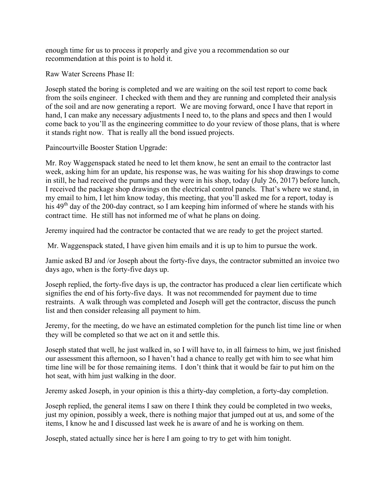enough time for us to process it properly and give you a recommendation so our recommendation at this point is to hold it.

Raw Water Screens Phase II:

Joseph stated the boring is completed and we are waiting on the soil test report to come back from the soils engineer. I checked with them and they are running and completed their analysis of the soil and are now generating a report. We are moving forward, once I have that report in hand, I can make any necessary adjustments I need to, to the plans and specs and then I would come back to you'll as the engineering committee to do your review of those plans, that is where it stands right now. That is really all the bond issued projects.

Paincourtville Booster Station Upgrade:

Mr. Roy Waggenspack stated he need to let them know, he sent an email to the contractor last week, asking him for an update, his response was, he was waiting for his shop drawings to come in still, he had received the pumps and they were in his shop, today (July 26, 2017) before lunch, I received the package shop drawings on the electrical control panels. That's where we stand, in my email to him, I let him know today, this meeting, that you'll asked me for a report, today is his  $49<sup>th</sup>$  day of the 200-day contract, so I am keeping him informed of where he stands with his contract time. He still has not informed me of what he plans on doing.

Jeremy inquired had the contractor be contacted that we are ready to get the project started.

Mr. Waggenspack stated, I have given him emails and it is up to him to pursue the work.

Jamie asked BJ and /or Joseph about the forty-five days, the contractor submitted an invoice two days ago, when is the forty-five days up.

Joseph replied, the forty-five days is up, the contractor has produced a clear lien certificate which signifies the end of his forty-five days. It was not recommended for payment due to time restraints. A walk through was completed and Joseph will get the contractor, discuss the punch list and then consider releasing all payment to him.

Jeremy, for the meeting, do we have an estimated completion for the punch list time line or when they will be completed so that we act on it and settle this.

Joseph stated that well, he just walked in, so I will have to, in all fairness to him, we just finished our assessment this afternoon, so I haven't had a chance to really get with him to see what him time line will be for those remaining items. I don't think that it would be fair to put him on the hot seat, with him just walking in the door.

Jeremy asked Joseph, in your opinion is this a thirty-day completion, a forty-day completion.

Joseph replied, the general items I saw on there I think they could be completed in two weeks, just my opinion, possibly a week, there is nothing major that jumped out at us, and some of the items, I know he and I discussed last week he is aware of and he is working on them.

Joseph, stated actually since her is here I am going to try to get with him tonight.